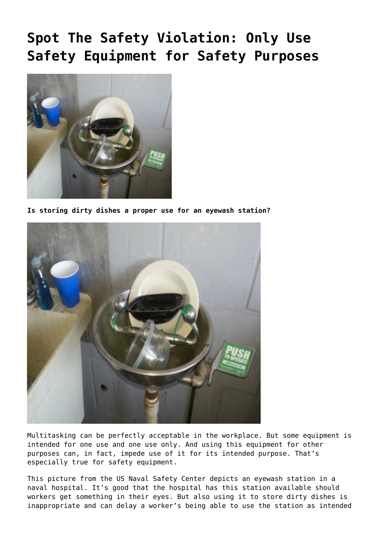## **[Spot The Safety Violation: Only Use](https://ohsinsider.com/spot-the-safety-violation-only-use-safety-equipment-for-safety-purposes/) [Safety Equipment for Safety Purposes](https://ohsinsider.com/spot-the-safety-violation-only-use-safety-equipment-for-safety-purposes/)**



**Is storing dirty dishes a proper use for an eyewash station?**



Multitasking can be perfectly acceptable in the workplace. But some equipment is intended for one use and one use only. And using this equipment for other purposes can, in fact, impede use of it for its intended purpose. That's especially true for safety equipment.

This picture from the US Naval Safety Center depicts an eyewash station in a naval hospital. It's good that the hospital has this station available should workers get something in their eyes. But also using it to store dirty dishes is inappropriate and can delay a worker's being able to use the station as intended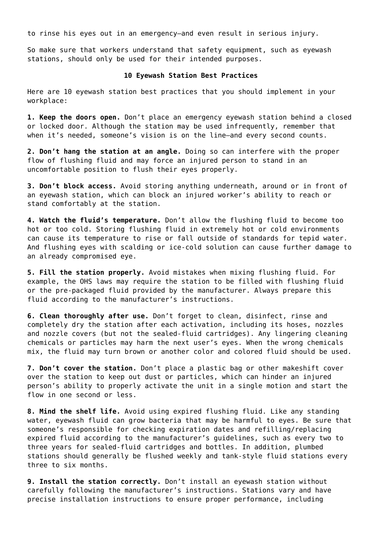to rinse his eyes out in an emergency—and even result in serious injury.

So make sure that workers understand that safety equipment, such as eyewash stations, should only be used for their intended purposes.

## **10 Eyewash Station Best Practices**

Here are 10 eyewash station best practices that you should implement in your workplace:

**1. Keep the doors open.** Don't place an emergency eyewash station behind a closed or locked door. Although the station may be used infrequently, remember that when it's needed, someone's vision is on the line-and every second counts.

**2. Don't hang the station at an angle.** Doing so can interfere with the proper flow of flushing fluid and may force an injured person to stand in an uncomfortable position to flush their eyes properly.

**3. Don't block access.** [Avoid storing anything underneath, around or in front of](https://ohsinsider.com/insider-top-stories/spot-the-safety-violation-would-you-wash-out-your-eyes-here) [an eyewash station](https://ohsinsider.com/insider-top-stories/spot-the-safety-violation-would-you-wash-out-your-eyes-here), which can block an injured worker's ability to reach or stand comfortably at the station.

**4. Watch the fluid's temperature.** Don't allow the flushing fluid to become too hot or too cold. Storing flushing fluid in extremely hot or cold environments can cause its temperature to rise or fall outside of standards for tepid water. And flushing eyes with scalding or ice-cold solution can cause further damage to an already compromised eye.

**5. Fill the station properly.** Avoid mistakes when mixing flushing fluid. For example, the OHS laws may require the station to be filled with flushing fluid or the pre-packaged fluid provided by the manufacturer. Always prepare this fluid according to the manufacturer's instructions.

**6. Clean thoroughly after use.** Don't forget to clean, disinfect, rinse and completely dry the station after each activation, including its hoses, nozzles and nozzle covers (but not the sealed-fluid cartridges). Any lingering cleaning chemicals or particles may harm the next user's eyes. When the wrong chemicals mix, the fluid may turn brown or another color and colored fluid should be used.

**7. Don't cover the station.** Don't place a plastic bag or other makeshift cover over the station to keep out dust or particles, which can hinder an injured person's ability to properly activate the unit in a single motion and start the flow in one second or less.

**8. Mind the shelf life.** Avoid using expired flushing fluid. Like any standing water, eyewash fluid can grow bacteria that may be harmful to eyes. Be sure that someone's responsible for checking expiration dates and refilling/replacing expired fluid according to the manufacturer's guidelines, such as every two to three years for sealed-fluid cartridges and bottles. In addition, plumbed stations should generally be flushed weekly and tank-style fluid stations every three to six months.

**9. Install the station correctly.** Don't install an eyewash station without carefully following the manufacturer's instructions. Stations vary and have precise installation instructions to ensure proper performance, including